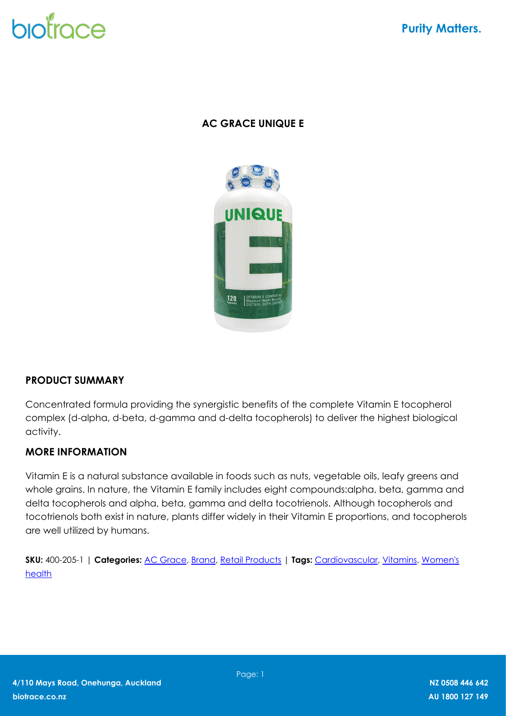# biotrace

## **AC GRACE UNIQUE E**



### **PRODUCT SUMMARY**

Concentrated formula providing the synergistic benefits of the complete Vitamin E tocopherol complex (d-alpha, d-beta, d-gamma and d-delta tocopherols) to deliver the highest biological activity.

### **MORE INFORMATION**

Vitamin E is a natural substance available in foods such as nuts, vegetable oils, leafy greens and whole grains. In nature, the Vitamin E family includes eight compounds:alpha, beta, gamma and delta tocopherols and alpha, beta, gamma and delta tocotrienols. Although tocopherols and tocotrienols both exist in nature, plants differ widely in their Vitamin E proportions, and tocopherols are well utilized by humans.

**SKU:** 400-205-1 | **Categories:** [AC Grace,](https://biotrace.co.nz/product-category/brand/ac-grace/) [Brand,](https://biotrace.co.nz/product-category/brand/) [Retail Products](https://biotrace.co.nz/product-category/retail-products/) | **Tags:** [Cardiovascular,](https://biotrace.co.nz/product-tag/cardiovascular/) [Vitamins,](https://biotrace.co.nz/product-tag/vitamins/) [Women's](https://biotrace.co.nz/product-tag/womens-health/) [health](https://biotrace.co.nz/product-tag/womens-health/)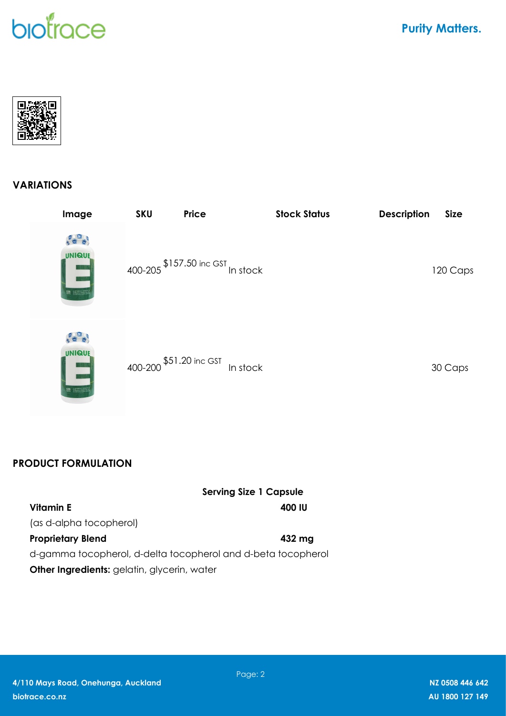## biotrace

**Purity Matters.** 



### **VARIATIONS**

| Image                                                                                                                                                                                                                                                                                                                      | <b>SKU</b>              | Price                        | <b>Stock Status</b> | <b>Description</b> | <b>Size</b> |
|----------------------------------------------------------------------------------------------------------------------------------------------------------------------------------------------------------------------------------------------------------------------------------------------------------------------------|-------------------------|------------------------------|---------------------|--------------------|-------------|
| <b>UNIQUE</b><br>$\begin{array}{r} \textbf{120} \\ \textbf{120} \\ \textbf{120} \end{array} \begin{array}{r} \begin{array}{c} \text{SFTRAM} \text{E} \text{ (0.002)} \\ \text{SFTAR} \text{ (0.001)} \end{array} \end{array}$                                                                                              |                         | \$157.50 inc GST<br>In stock |                     |                    | 120 Caps    |
| <b>UNIQUE</b><br>$ O\rangle$<br>$\begin{bmatrix} 120 \\ \frac{1}{2}20 \end{bmatrix} \begin{bmatrix} 10779.04 & 0.00027 & 0.00027 \\ 0.0004 & 0.00047 & 0.00047 & 0.00047 \\ 0.0004 & 0.00047 & 0.00047 & 0.00047 \\ 0.0004 & 0.00047 & 0.00047 & 0.00047 \\ 0.0004 & 0.00047 & 0.00047 & 0.00047 & 0.00047 \\ 0.0004 & 0.$ | 400-200 \$51.20 inc GST | In stock                     |                     |                    | 30 Caps     |

## **PRODUCT FORMULATION**

|                                                              | <b>Serving Size 1 Capsule</b> |
|--------------------------------------------------------------|-------------------------------|
| Vitamin E                                                    | 400 IU                        |
| (as d-alpha tocopherol)                                      |                               |
| <b>Proprietary Blend</b>                                     | 432 mg                        |
| d-gamma tocopherol, d-delta tocopherol and d-beta tocopherol |                               |
| <b>Other Ingredients:</b> gelatin, glycerin, water           |                               |